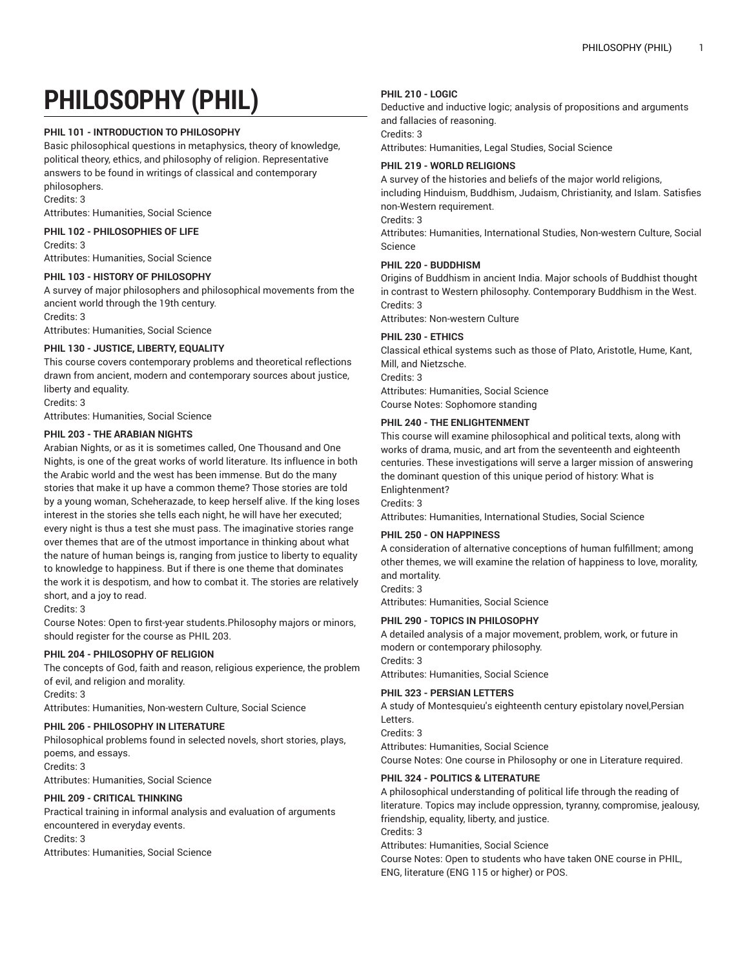# **PHILOSOPHY (PHIL)**

# **PHIL 101 - INTRODUCTION TO PHILOSOPHY**

Basic philosophical questions in metaphysics, theory of knowledge, political theory, ethics, and philosophy of religion. Representative answers to be found in writings of classical and contemporary philosophers.

Credits: 3

Attributes: Humanities, Social Science

**PHIL 102 - PHILOSOPHIES OF LIFE**

Credits: 3 Attributes: Humanities, Social Science

# **PHIL 103 - HISTORY OF PHILOSOPHY**

A survey of major philosophers and philosophical movements from the ancient world through the 19th century. Credits: 3

Attributes: Humanities, Social Science

# **PHIL 130 - JUSTICE, LIBERTY, EQUALITY**

This course covers contemporary problems and theoretical reflections drawn from ancient, modern and contemporary sources about justice, liberty and equality.

Credits: 3

Attributes: Humanities, Social Science

# **PHIL 203 - THE ARABIAN NIGHTS**

Arabian Nights, or as it is sometimes called, One Thousand and One Nights, is one of the great works of world literature. Its influence in both the Arabic world and the west has been immense. But do the many stories that make it up have a common theme? Those stories are told by a young woman, Scheherazade, to keep herself alive. If the king loses interest in the stories she tells each night, he will have her executed; every night is thus a test she must pass. The imaginative stories range over themes that are of the utmost importance in thinking about what the nature of human beings is, ranging from justice to liberty to equality to knowledge to happiness. But if there is one theme that dominates the work it is despotism, and how to combat it. The stories are relatively short, and a joy to read.

Credits: 3

Course Notes: Open to first-year students.Philosophy majors or minors, should register for the course as PHIL 203.

# **PHIL 204 - PHILOSOPHY OF RELIGION**

The concepts of God, faith and reason, religious experience, the problem of evil, and religion and morality.

Credits: 3

Attributes: Humanities, Non-western Culture, Social Science

# **PHIL 206 - PHILOSOPHY IN LITERATURE**

Philosophical problems found in selected novels, short stories, plays, poems, and essays. Credits: 3

Attributes: Humanities, Social Science

# **PHIL 209 - CRITICAL THINKING**

Practical training in informal analysis and evaluation of arguments encountered in everyday events. Credits: 3 Attributes: Humanities, Social Science

#### **PHIL 210 - LOGIC**

Deductive and inductive logic; analysis of propositions and arguments and fallacies of reasoning. Credits: 3

Attributes: Humanities, Legal Studies, Social Science

#### **PHIL 219 - WORLD RELIGIONS**

A survey of the histories and beliefs of the major world religions, including Hinduism, Buddhism, Judaism, Christianity, and Islam. Satisfies non-Western requirement.

Credits: 3

Attributes: Humanities, International Studies, Non-western Culture, Social Science

# **PHIL 220 - BUDDHISM**

Origins of Buddhism in ancient India. Major schools of Buddhist thought in contrast to Western philosophy. Contemporary Buddhism in the West. Credits: 3

Attributes: Non-western Culture

# **PHIL 230 - ETHICS**

Classical ethical systems such as those of Plato, Aristotle, Hume, Kant, Mill, and Nietzsche. Credits: 3 Attributes: Humanities, Social Science Course Notes: Sophomore standing

# **PHIL 240 - THE ENLIGHTENMENT**

This course will examine philosophical and political texts, along with works of drama, music, and art from the seventeenth and eighteenth centuries. These investigations will serve a larger mission of answering the dominant question of this unique period of history: What is Enlightenment? Credits: 3

Attributes: Humanities, International Studies, Social Science

# **PHIL 250 - ON HAPPINESS**

A consideration of alternative conceptions of human fulfillment; among other themes, we will examine the relation of happiness to love, morality, and mortality.

Credits: 3

Attributes: Humanities, Social Science

# **PHIL 290 - TOPICS IN PHILOSOPHY**

A detailed analysis of a major movement, problem, work, or future in modern or contemporary philosophy. Credits: 3

Attributes: Humanities, Social Science

# **PHIL 323 - PERSIAN LETTERS**

A study of Montesquieu's eighteenth century epistolary novel,Persian Letters. Credits: 3 Attributes: Humanities, Social Science

Course Notes: One course in Philosophy or one in Literature required.

# **PHIL 324 - POLITICS & LITERATURE**

A philosophical understanding of political life through the reading of literature. Topics may include oppression, tyranny, compromise, jealousy, friendship, equality, liberty, and justice. Credits: 3 Attributes: Humanities, Social Science

Course Notes: Open to students who have taken ONE course in PHIL, ENG, literature (ENG 115 or higher) or POS.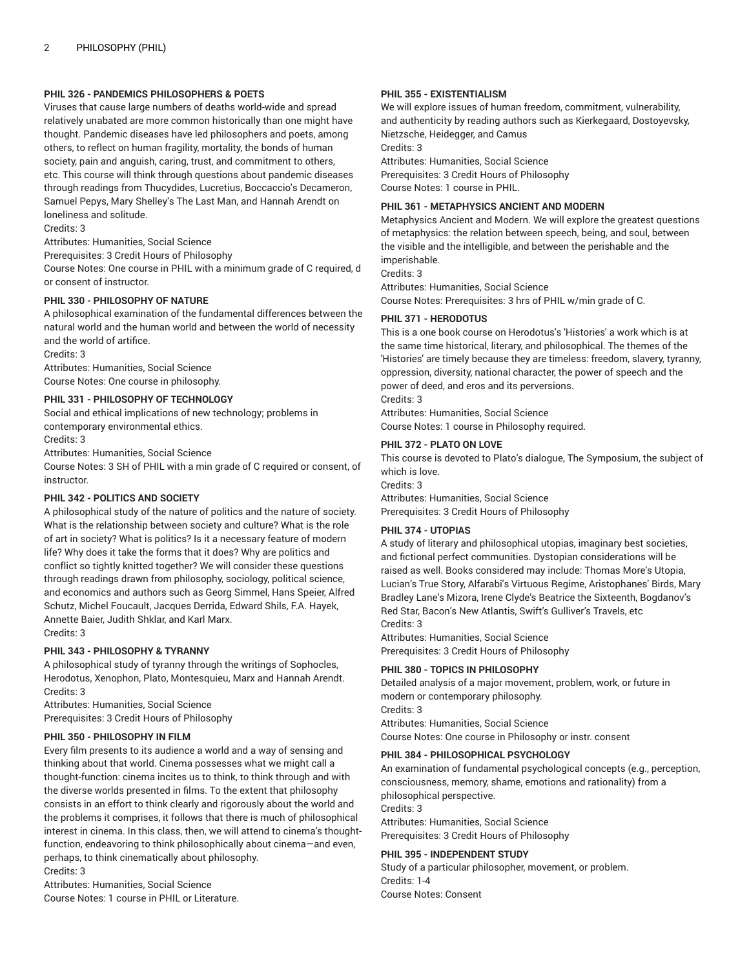# **PHIL 326 - PANDEMICS PHILOSOPHERS & POETS**

Viruses that cause large numbers of deaths world-wide and spread relatively unabated are more common historically than one might have thought. Pandemic diseases have led philosophers and poets, among others, to reflect on human fragility, mortality, the bonds of human society, pain and anguish, caring, trust, and commitment to others, etc. This course will think through questions about pandemic diseases through readings from Thucydides, Lucretius, Boccaccio's Decameron, Samuel Pepys, Mary Shelley's The Last Man, and Hannah Arendt on loneliness and solitude.

Credits: 3

Attributes: Humanities, Social Science

Prerequisites: 3 Credit Hours of Philosophy

Course Notes: One course in PHIL with a minimum grade of C required, d or consent of instructor.

# **PHIL 330 - PHILOSOPHY OF NATURE**

A philosophical examination of the fundamental differences between the natural world and the human world and between the world of necessity and the world of artifice.

Credits: 3

Attributes: Humanities, Social Science Course Notes: One course in philosophy.

# **PHIL 331 - PHILOSOPHY OF TECHNOLOGY**

Social and ethical implications of new technology; problems in contemporary environmental ethics.

Credits: 3

Attributes: Humanities, Social Science

Course Notes: 3 SH of PHIL with a min grade of C required or consent, of instructor.

# **PHIL 342 - POLITICS AND SOCIETY**

A philosophical study of the nature of politics and the nature of society. What is the relationship between society and culture? What is the role of art in society? What is politics? Is it a necessary feature of modern life? Why does it take the forms that it does? Why are politics and conflict so tightly knitted together? We will consider these questions through readings drawn from philosophy, sociology, political science, and economics and authors such as Georg Simmel, Hans Speier, Alfred Schutz, Michel Foucault, Jacques Derrida, Edward Shils, F.A. Hayek, Annette Baier, Judith Shklar, and Karl Marx. Credits: 3

# **PHIL 343 - PHILOSOPHY & TYRANNY**

A philosophical study of tyranny through the writings of Sophocles, Herodotus, Xenophon, Plato, Montesquieu, Marx and Hannah Arendt. Credits: 3

Attributes: Humanities, Social Science Prerequisites: 3 Credit Hours of Philosophy

# **PHIL 350 - PHILOSOPHY IN FILM**

Every film presents to its audience a world and a way of sensing and thinking about that world. Cinema possesses what we might call a thought-function: cinema incites us to think, to think through and with the diverse worlds presented in films. To the extent that philosophy consists in an effort to think clearly and rigorously about the world and the problems it comprises, it follows that there is much of philosophical interest in cinema. In this class, then, we will attend to cinema's thoughtfunction, endeavoring to think philosophically about cinema—and even, perhaps, to think cinematically about philosophy. Credits: 3

Attributes: Humanities, Social Science Course Notes: 1 course in PHIL or Literature.

# **PHIL 355 - EXISTENTIALISM**

We will explore issues of human freedom, commitment, vulnerability, and authenticity by reading authors such as Kierkegaard, Dostoyevsky, Nietzsche, Heidegger, and Camus Credits: 3

Attributes: Humanities, Social Science Prerequisites: 3 Credit Hours of Philosophy Course Notes: 1 course in PHIL.

# **PHIL 361 - METAPHYSICS ANCIENT AND MODERN**

Metaphysics Ancient and Modern. We will explore the greatest questions of metaphysics: the relation between speech, being, and soul, between the visible and the intelligible, and between the perishable and the imperishable.

Credits: 3

Attributes: Humanities, Social Science Course Notes: Prerequisites: 3 hrs of PHIL w/min grade of C.

# **PHIL 371 - HERODOTUS**

This is a one book course on Herodotus's 'Histories' a work which is at the same time historical, literary, and philosophical. The themes of the 'Histories' are timely because they are timeless: freedom, slavery, tyranny, oppression, diversity, national character, the power of speech and the power of deed, and eros and its perversions.

Credits: 3

Attributes: Humanities, Social Science Course Notes: 1 course in Philosophy required.

# **PHIL 372 - PLATO ON LOVE**

This course is devoted to Plato's dialogue, The Symposium, the subject of which is love.

Credits: 3 Attributes: Humanities, Social Science Prerequisites: 3 Credit Hours of Philosophy

# **PHIL 374 - UTOPIAS**

A study of literary and philosophical utopias, imaginary best societies, and fictional perfect communities. Dystopian considerations will be raised as well. Books considered may include: Thomas More's Utopia, Lucian's True Story, Alfarabi's Virtuous Regime, Aristophanes' Birds, Mary Bradley Lane's Mizora, Irene Clyde's Beatrice the Sixteenth, Bogdanov's Red Star, Bacon's New Atlantis, Swift's Gulliver's Travels, etc Credits: 3

Attributes: Humanities, Social Science Prerequisites: 3 Credit Hours of Philosophy

# **PHIL 380 - TOPICS IN PHILOSOPHY**

Detailed analysis of a major movement, problem, work, or future in modern or contemporary philosophy. Credits: 3 Attributes: Humanities, Social Science Course Notes: One course in Philosophy or instr. consent

# **PHIL 384 - PHILOSOPHICAL PSYCHOLOGY**

An examination of fundamental psychological concepts (e.g., perception, consciousness, memory, shame, emotions and rationality) from a philosophical perspective. Credits: 3 Attributes: Humanities, Social Science

Prerequisites: 3 Credit Hours of Philosophy

# **PHIL 395 - INDEPENDENT STUDY**

Study of a particular philosopher, movement, or problem. Credits: 1-4 Course Notes: Consent